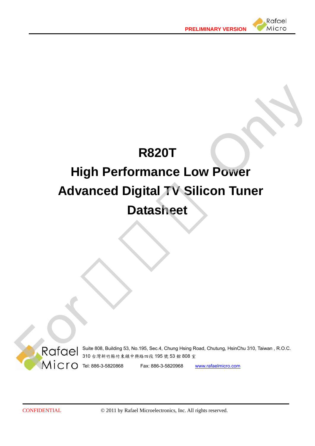

# **R820T High Performance Low Power Advanced Digital TV Silicon Tuner Datasheet**  RESSERIES AND RESERVE TO A SERIES AND RESERVE TO A SERIES A SERIES AND RESERVE TO A SERIES A SERIES AND RESERVE THE SERIES AND RESERVE THE SERIES OF THE SERIES OF THE SERIES OF THE SERIES OF THE SERIES OF THE SERIES OF THE



Suite 808, Building 53, No.195, Sec.4, Chung Hsing Road, Chutung, HsinChu 310, Taiwan , R.O.C. 310 台灣新竹縣竹東鎮中興路四段 195 號 53 館 808 室

CONFIDENTIAL © 2011 by Rafael Microelectronics, Inc. All rights reserved.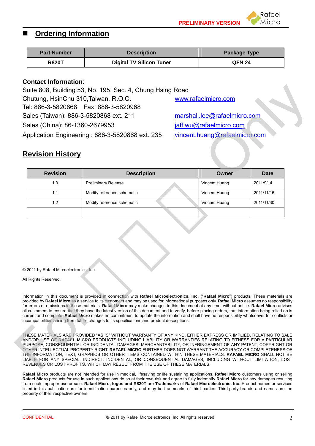#### **Ordering Information**

| <b>Part Number</b> | <b>Description</b>              | <b>Package Type</b> |
|--------------------|---------------------------------|---------------------|
| <b>R820T</b>       | <b>Digital TV Silicon Tuner</b> | <b>QFN 24</b>       |

#### **Contact Information**:

#### **Revision History**

| Sales (China): 86-1360-2679953<br><b>Revision History</b> | Suite 808, Building 53, No. 195, Sec. 4, Chung Hsing Road<br>Chutung, HsinChu 310, Taiwan, R.O.C.<br>Tel: 886-3-5820868    Fax: 886-3-5820968<br>Sales (Taiwan): 886-3-5820868 ext. 211<br>Application Engineering: 886-3-5820868 ext. 235                                                                                                                                                                                                                                                                                                                                                                                                                                                                                                                                                                                                           | www.rafaelmicro.com<br>marshall.lee@rafaelmicro.com<br>jaff.wu@rafaelmicro.com<br>vincent.huang@rafaelmicro.com |             |
|-----------------------------------------------------------|------------------------------------------------------------------------------------------------------------------------------------------------------------------------------------------------------------------------------------------------------------------------------------------------------------------------------------------------------------------------------------------------------------------------------------------------------------------------------------------------------------------------------------------------------------------------------------------------------------------------------------------------------------------------------------------------------------------------------------------------------------------------------------------------------------------------------------------------------|-----------------------------------------------------------------------------------------------------------------|-------------|
| <b>Revision</b>                                           | <b>Description</b>                                                                                                                                                                                                                                                                                                                                                                                                                                                                                                                                                                                                                                                                                                                                                                                                                                   | Owner                                                                                                           | <b>Date</b> |
| 1.0                                                       | <b>Preliminary Release</b>                                                                                                                                                                                                                                                                                                                                                                                                                                                                                                                                                                                                                                                                                                                                                                                                                           | Vincent Huang                                                                                                   | 2011/9/14   |
| 1.1                                                       | Modify reference schematic                                                                                                                                                                                                                                                                                                                                                                                                                                                                                                                                                                                                                                                                                                                                                                                                                           | Vincent Huang                                                                                                   | 2011/11/16  |
| 1.2                                                       | Modify reference schematic                                                                                                                                                                                                                                                                                                                                                                                                                                                                                                                                                                                                                                                                                                                                                                                                                           | Vincent Huang                                                                                                   | 2011/11/30  |
| © 2011 by Rafael Microelectronics, Inc.                   |                                                                                                                                                                                                                                                                                                                                                                                                                                                                                                                                                                                                                                                                                                                                                                                                                                                      |                                                                                                                 |             |
| All Rights Reserved.                                      |                                                                                                                                                                                                                                                                                                                                                                                                                                                                                                                                                                                                                                                                                                                                                                                                                                                      |                                                                                                                 |             |
|                                                           | Information in this document is provided in connection with Rafael Microelectronics, Inc. ("Rafael Micro") products. These materials are<br>provided by Rafael Micro as a service to its customers and may be used for informational purposes only. Rafael Micro assumes no responsibility<br>for errors or omissions in these materials. Rafael Micro may make changes to this document at any time, without notice. Rafael Micro advises<br>all customers to ensure that they have the latest version of this document and to verify, before placing orders, that information being relied on is<br>current and complete. Rafael Micro makes no commitment to update the information and shall have no responsibility whatsoever for conflicts or<br>incompatibilities arising from future changes to its specifications and product descriptions. |                                                                                                                 |             |
|                                                           | THESE MATERIALS ARE PROVIDED "AS IS" WITHOUT WARRANTY OF ANY KIND. EITHER EXPRESS OR IMPLIED, RELATING TO SALE<br>AND/OR USE OF RAFAEL MICRO PRODUCTS INCLUDING LIABILITY OR WARRANTIES RELATING TO FITNESS FOR A PARTICULAR<br>PURPOSE, CONSEQUENTIAL OR INCIDENTAL DAMAGES, MERCHANTABILITY, OR INFRINGEMENT OF ANY PATENT, COPYRIGHT OR<br>OTHER INTELLECTUAL PROPERTY RIGHT. RAFAEL MICRO FURTHER DOES NOT WARRANT THE ACCURACY OR COMPLETENESS OF<br>THE INFORMATION, TEXT, GRAPHICS OR OTHER ITEMS CONTAINED WITHIN THESE MATERIALS. RAFAEL MICRO SHALL NOT BE<br>LIABLE FOR ANY SPECIAL, INDIRECT, INCIDENTAL, OR CONSEQUENTIAL DAMAGES, INCLUDING WITHOUT LIMITATION, LOST<br>REVENUES OR LOST PROFITS, WHICH MAY RESULT FROM THE USE OF THESE MATERIALS.                                                                                    |                                                                                                                 |             |

**Rafael Micro** products are not intended for use in medical, lifesaving or life sustaining applications. **Rafael Micro** customers using or selling **Rafael Micro** products for use in such applications do so at their own risk and agree to fully indemnify **Rafael Micro** for any damages resulting from such improper use or sale. **Rafael Micro, logos and R820T** are **Trademarks** of **Rafael Microelectronic, Inc**. Product names or services listed in this publication are for identification purposes only, and may be trademarks of third parties. Third-party brands and names are the property of their respective owners.

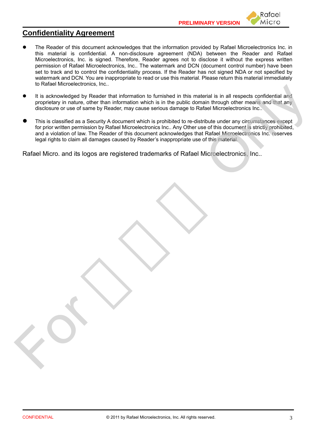

## **Confidentiality Agreement**

- The Reader of this document acknowledges that the information provided by Rafael Microelectronics Inc. in this material is confidential. A non-disclosure agreement (NDA) between the Reader and Rafael Microelectronics, Inc. is signed. Therefore, Reader agrees not to disclose it without the express written permission of Rafael Microelectronics, Inc.. The watermark and DCN (document control number) have been set to track and to control the confidentiality process. If the Reader has not signed NDA or not specified by watermark and DCN. You are inappropriate to read or use this material. Please return this material immediately to Rafael Microelectronics, Inc..
- It is acknowledged by Reader that information to furnished in this material is in all respects confidential and proprietary in nature, other than information which is in the public domain through other means and that any disclosure or use of same by Reader, may cause serious damage to Rafael Microelectronics Inc..
- This is classified as a Security A document which is prohibited to re-distribute under any circumstances except for prior written permission by Rafael Microelectronics Inc.. Any Other use of this document is strictly prohibited, and a violation of law. The Reader of this document acknowledges that Rafael Microelectronics Inc. reserves legal rights to claim all damages caused by Reader's inappropriate use of this material. is a convertigate by Reader that information to furnished in this material is in all respects confidential and<br>proprietary in nature, one final information which is in the public domain frocugar of the determination with t

Rafael Micro. and its logos are registered trademarks of Rafael Microelectronics, Inc..

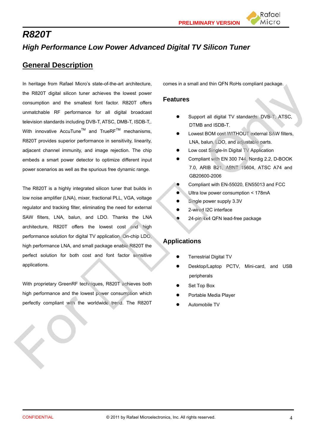# *R820T High Performance Low Power Advanced Digital TV Silicon Tuner*

## **General Description**

In heritage from Rafael Micro's state-of-the-art architecture, the R820T digital silicon tuner achieves the lowest power consumption and the smallest font factor. R820T offers unmatchable RF performance for all digital broadcast television standards including DVB-T, ATSC, DMB-T, ISDB-T,. With innovative AccuTune<sup>TM</sup> and TrueRF<sup>TM</sup> mechanisms, R820T provides superior performance in sensitivity, linearity, adjacent channel immunity, and image rejection. The chip embeds a smart power detector to optimize different input power scenarios as well as the spurious free dynamic range. For Manufacture Internal methods in the state of the Construction of the Construction of the Construction of the Construction of the Construction of the Construction of the Construction of the Construction of the Construct

The R820T is a highly integrated silicon tuner that builds in low noise amplifier (LNA), mixer, fractional PLL, VGA, voltage regulator and tracking filter, eliminating the need for external SAW filters, LNA, balun, and LDO. Thanks the LNA architecture, R820T offers the lowest cost and high performance solution for digital TV application. On-chip LDO, high performance LNA, and small package enable R820T the perfect solution for both cost and font factor sensitive applications.

With proprietary GreenRF techniques, R820T achieves both high performance and the lowest power consumption which perfectly compliant with the worldwide trend. The R820T comes in a small and thin QFN RoHs compliant package.

#### **Features**

 Support all digital TV standards: DVB-T, ATSC, DTMB and ISDB-T.

Rafael Micro

- Lowest BOM cost WITHOUT external SAW filters, LNA, balun, LDO, and adjustable parts.
- Low cost Single-In Digital TV Application
- Compliant with EN 300 744, Nordig 2.2, D-BOOK 7.0, ARIB B21, ABNT 15604, ATSC A74 and GB20600-2006
- Compliant with EN-55020, EN55013 and FCC
- Ultra low power consumption < 178mA
- Single power supply 3.3V
- 2-wired I2C interface
- 24-pin 4x4 QFN lead-free package

#### **Applications**

- Terrestrial Digital TV
- Desktop/Laptop PCTV, Mini-card, and USB peripherals
- Set Top Box
- Portable Media Player
- Automobile TV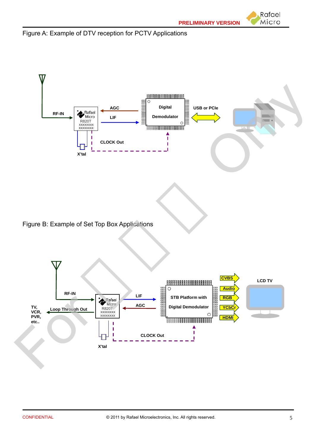Figure A: Example of DTV reception for PCTV Applications



Figure B: Example of Set Top Box Applications

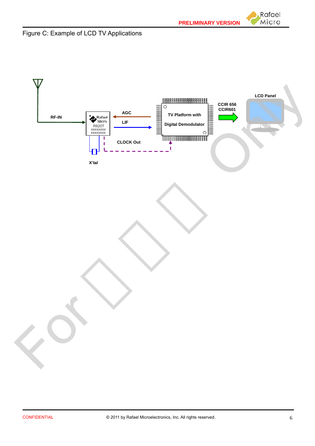Rafael Micro





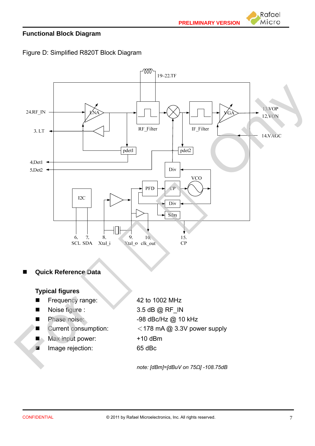Rafael Micro

#### **Functional Block Diagram**

Figure D: Simplified R820T Block Diagram



#### **Quick Reference Data**

#### **Typical figures**

- Frequency range: 42 to 1002 MHz ■ Frequency range:<br>
■ Noise figure :<br>
■ Phase noise:<br>
■ Current consumption<br>
Max input power:<br>
Image rejection:
	- Noise figure : 3.5 dB @ RF\_IN

Phase noise: -98 dBc/Hz @ 10 kHz

- Current consumption: <178 mA @ 3.3V power supply
- $\blacksquare$  Max input power:  $+10$  dBm
- Image rejection: 65 dBc

*note: [dBm]=[dBuV on 75Ω] -108.75dB*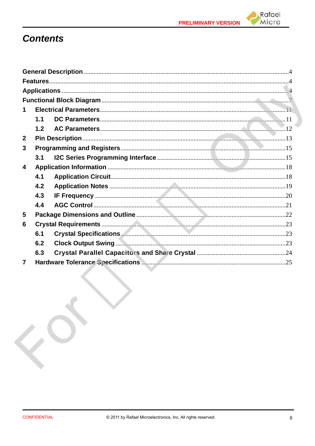



# **Contents**

|                | 1.1 |  |
|----------------|-----|--|
|                | 1.2 |  |
| $\mathbf{2}$   |     |  |
| 3              |     |  |
|                | 3.1 |  |
| 4              |     |  |
|                | 4.1 |  |
|                | 4.2 |  |
|                | 4.3 |  |
|                | 4.4 |  |
| 5              |     |  |
| 6              |     |  |
|                | 6.1 |  |
|                | 6.2 |  |
|                | 6.3 |  |
| $\overline{7}$ |     |  |

 $\mathbf{C}^{\mathbf{C}}$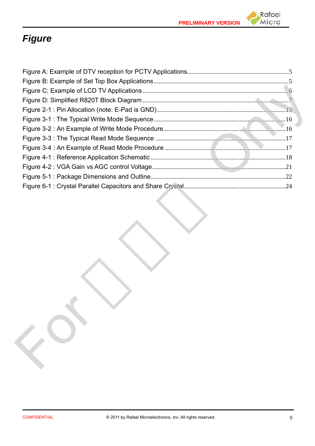



# *Figure*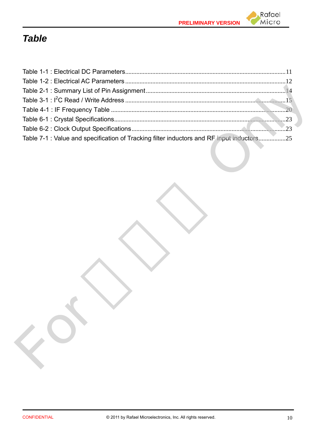

# *Table*

| Table 7-1 : Value and specification of Tracking filter inductors and RF input inductors25 |  |
|-------------------------------------------------------------------------------------------|--|
|                                                                                           |  |
|                                                                                           |  |
|                                                                                           |  |
|                                                                                           |  |
|                                                                                           |  |

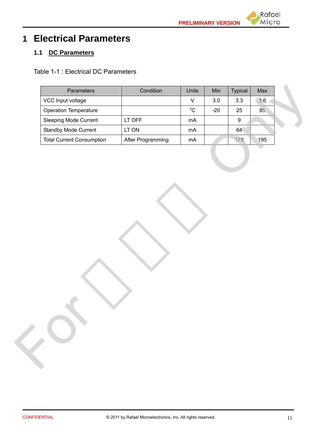

# **1 Electrical Parameters**

## **1.1 DC Parameters**

Table 1-1 : Electrical DC Parameters

| $\mathsf V$<br>3.0<br>3.3<br>3.6<br>$^{\circ}{\rm C}$<br>85<br>$-20$<br>25<br>LT OFF<br>$mA$<br>$9\,$<br>LT ON<br>64<br>mA<br>After Programming<br>178<br>$mA$<br>195 | VCC Input voltage<br>Operation Temperature<br>Sleeping Mode Current<br>Standby Mode Current<br><b>Total Current Consumption</b> |
|-----------------------------------------------------------------------------------------------------------------------------------------------------------------------|---------------------------------------------------------------------------------------------------------------------------------|
|                                                                                                                                                                       |                                                                                                                                 |
|                                                                                                                                                                       |                                                                                                                                 |
|                                                                                                                                                                       |                                                                                                                                 |
|                                                                                                                                                                       |                                                                                                                                 |
|                                                                                                                                                                       |                                                                                                                                 |
|                                                                                                                                                                       |                                                                                                                                 |

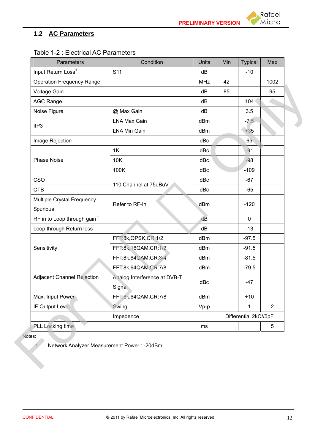## **1.2 AC Parameters**

| Table 1-2 : Electrical AC Parameters |           |
|--------------------------------------|-----------|
| <b>Parameters</b>                    | Condition |
|                                      |           |

| Parameters                              | Condition                    | <b>Units</b> | Min | <b>Typical</b>        | Max  |
|-----------------------------------------|------------------------------|--------------|-----|-----------------------|------|
| Input Return Loss <sup>1</sup>          | S <sub>11</sub>              | dB           |     | $-10$                 |      |
| <b>Operation Frequency Range</b>        |                              | <b>MHz</b>   | 42  |                       | 1002 |
| Voltage Gain                            |                              | dB           | 85  |                       | 95   |
| <b>AGC Range</b>                        |                              | dB           |     | 104                   |      |
| Noise Figure                            | @ Max Gain                   | dB           |     | 3.5                   |      |
| IIP <sub>3</sub>                        | <b>LNA Max Gain</b>          | dBm          |     | $-7.5$                |      |
|                                         | <b>LNA Min Gain</b>          | dBm          |     | $+35$                 |      |
| Image Rejection                         |                              | dBc          |     | 65                    |      |
|                                         | 1K                           | dBc          |     | $-91$                 |      |
| <b>Phase Noise</b>                      | 10K                          | dBc          |     | $-98$                 |      |
|                                         | 100K                         | dBc          |     | $-109$                |      |
| CSO                                     | 110 Channel at 75dBuV        | dBc          |     | $-67$                 |      |
| <b>CTB</b>                              |                              | dBc          |     | $-65$                 |      |
| Multiple Crystal Frequency              | Refer to RF-In               | dBm          |     | $-120$                |      |
| Spurious                                |                              |              |     |                       |      |
| RF in to Loop through gain <sup>1</sup> |                              | dB           |     | $\mathbf 0$           |      |
| Loop through Return loss <sup>1</sup>   |                              | dB           |     | $-13$                 |      |
|                                         | FFT:8k,QPSK,CR:1/2           | dBm          |     | $-97.5$               |      |
| Sensitivity                             | FFT:8k,16QAM,CR:1/2          | dBm          |     | $-91.5$               |      |
|                                         | FFT:8k,64QAM,CR:3/4          | dBm          |     | $-81.5$               |      |
|                                         | FFT:8k,64QAM,CR:7/8          | dBm          |     | $-79.5$               |      |
| Adjacent Channel Rejection              | Analog Interference at DVB-T | dBc          |     | $-47$                 |      |
|                                         | Signal                       |              |     |                       |      |
| Max. Input Power                        | FFT:8k,64QAM,CR:7/8          | dBm          |     | $+10$                 |      |
| IF Output Level                         | Swing                        | $Vp-p$       |     | 1                     | 2    |
|                                         | Impedence                    |              |     | Differential 2kΩ//5pF |      |
| PLL Locking time                        |                              | ms           |     |                       | 5    |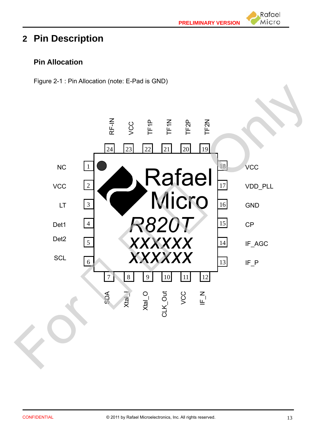Rafael Micro

# **2 Pin Description**

## **Pin Allocation**

Figure 2-1 : Pin Allocation (note: E-Pad is GND)

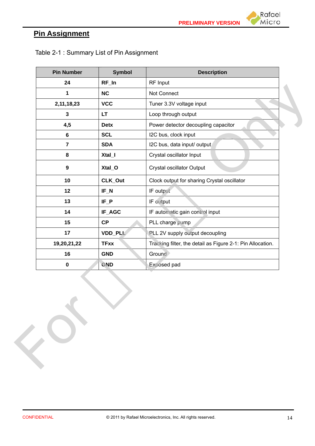

## **Pin Assignment**

| 24<br>$RF_$ In<br>RF Input<br>NC<br>1<br>Not Connect<br>2,11,18,23<br><b>VCC</b><br>Tuner 3.3V voltage input<br>$\mathbf 3$<br><b>LT</b><br>Loop through output<br>Power detector decoupling capacitor<br>4,5<br><b>Detx</b><br>I2C bus, clock input<br><b>SCL</b><br>$\bf 6$<br>$\overline{7}$<br>I2C bus, data input/ output<br><b>SDA</b><br>$\bf 8$<br>Xtal_I<br>Crystal oscillator Input<br>Crystal oscillator Output<br>Xtal_O<br>$\boldsymbol{9}$<br>CLK_Out<br>10<br>Clock output for sharing Crystal oscillator<br>12<br>$IF_N$<br>IF output<br>$IF_P$<br>13<br>IF output<br>IF_AGC<br>14<br>IF automatic gain control input<br>CP<br>15<br>PLL charge pump<br>17<br><b>VDD_PLL</b><br>PLL 2V supply output decoupling |                                                            |
|---------------------------------------------------------------------------------------------------------------------------------------------------------------------------------------------------------------------------------------------------------------------------------------------------------------------------------------------------------------------------------------------------------------------------------------------------------------------------------------------------------------------------------------------------------------------------------------------------------------------------------------------------------------------------------------------------------------------------------|------------------------------------------------------------|
|                                                                                                                                                                                                                                                                                                                                                                                                                                                                                                                                                                                                                                                                                                                                 |                                                            |
|                                                                                                                                                                                                                                                                                                                                                                                                                                                                                                                                                                                                                                                                                                                                 |                                                            |
|                                                                                                                                                                                                                                                                                                                                                                                                                                                                                                                                                                                                                                                                                                                                 |                                                            |
|                                                                                                                                                                                                                                                                                                                                                                                                                                                                                                                                                                                                                                                                                                                                 |                                                            |
|                                                                                                                                                                                                                                                                                                                                                                                                                                                                                                                                                                                                                                                                                                                                 |                                                            |
|                                                                                                                                                                                                                                                                                                                                                                                                                                                                                                                                                                                                                                                                                                                                 |                                                            |
|                                                                                                                                                                                                                                                                                                                                                                                                                                                                                                                                                                                                                                                                                                                                 |                                                            |
|                                                                                                                                                                                                                                                                                                                                                                                                                                                                                                                                                                                                                                                                                                                                 |                                                            |
|                                                                                                                                                                                                                                                                                                                                                                                                                                                                                                                                                                                                                                                                                                                                 |                                                            |
|                                                                                                                                                                                                                                                                                                                                                                                                                                                                                                                                                                                                                                                                                                                                 |                                                            |
|                                                                                                                                                                                                                                                                                                                                                                                                                                                                                                                                                                                                                                                                                                                                 |                                                            |
|                                                                                                                                                                                                                                                                                                                                                                                                                                                                                                                                                                                                                                                                                                                                 |                                                            |
|                                                                                                                                                                                                                                                                                                                                                                                                                                                                                                                                                                                                                                                                                                                                 |                                                            |
|                                                                                                                                                                                                                                                                                                                                                                                                                                                                                                                                                                                                                                                                                                                                 |                                                            |
|                                                                                                                                                                                                                                                                                                                                                                                                                                                                                                                                                                                                                                                                                                                                 |                                                            |
| 19,20,21,22<br><b>TFxx</b>                                                                                                                                                                                                                                                                                                                                                                                                                                                                                                                                                                                                                                                                                                      | Tracking filter, the detail as Figure 2-1: Pin Allocation. |
| Ground<br>16<br><b>GND</b>                                                                                                                                                                                                                                                                                                                                                                                                                                                                                                                                                                                                                                                                                                      |                                                            |
| $\pmb{0}$<br><b>GND</b><br>Exposed pad                                                                                                                                                                                                                                                                                                                                                                                                                                                                                                                                                                                                                                                                                          |                                                            |
|                                                                                                                                                                                                                                                                                                                                                                                                                                                                                                                                                                                                                                                                                                                                 |                                                            |

Table 2-1 : Summary List of Pin Assignment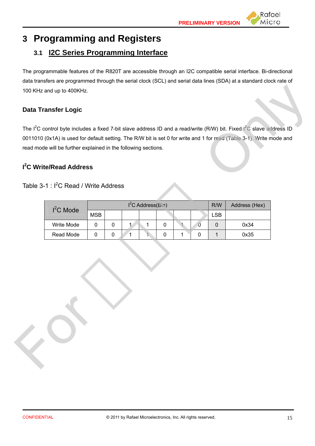

# **3 Programming and Registers**

## **3.1 I2C Series Programming Interface**

The programmable features of the R820T are accessible through an I2C compatible serial interface. Bi-directional data transfers are programmed through the serial clock (SCL) and serial data lines (SDA) at a standard clock rate of 100 KHz and up to 400KHz.

#### **Data Transfer Logic**

#### **I 2 C Write/Read Address**

#### Table 3-1 : I<sup>2</sup>C Read / Write Address

| Table $3-1$ : I <sup>2</sup> C Read / Write Address |            |           |              | $I2C$ Address(Bin) |           |              |   | R/W          | Address (Hex) |
|-----------------------------------------------------|------------|-----------|--------------|--------------------|-----------|--------------|---|--------------|---------------|
| $I2C$ Mode                                          | <b>MSB</b> |           |              |                    |           |              |   | <b>LSB</b>   |               |
| Write Mode                                          | $\pmb{0}$  | $\pmb{0}$ | $\mathbf{1}$ | $\mathbf{1}$       | $\pmb{0}$ | $\mathbf{1}$ | 0 | $\pmb{0}$    | 0x34          |
| Read Mode                                           | $\pmb{0}$  | $\pmb{0}$ | 1            | 1                  | $\pmb{0}$ | 1            | 0 | $\mathbf{1}$ | 0x35          |
|                                                     |            |           |              |                    |           |              |   |              |               |

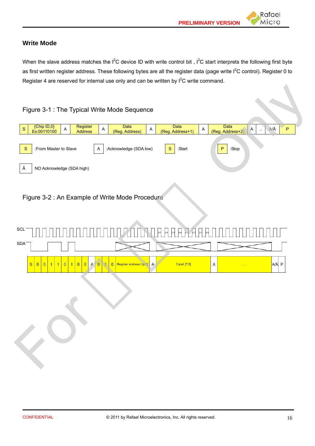Rafael Micro

#### **Write Mode**

When the slave address matches the  $I^2C$  device ID with write control bit,  $I^2C$  start interprets the following first byte as first written register address. These following bytes are all the register data (page write I<sup>2</sup>C control). Register 0 to Register 4 are reserved for internal use only and can be written by  $I^2C$  write command.



Figure 3-2 : An Example of Write Mode Procedure

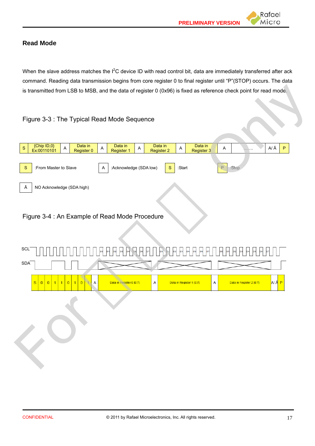Rafael Micro



When the slave address matches the  $I^2C$  device ID with read control bit, data are immediately transferred after ack command. Reading data transmission begins from core register 0 to final register until "P"(STOP) occurs. The data is transmitted from LSB to MSB, and the data of register 0 (0x96) is fixed as reference check point for read mode.

#### Figure 3-3 : The Typical Read Mode Sequence



#### Figure 3-4 : An Example of Read Mode Procedure

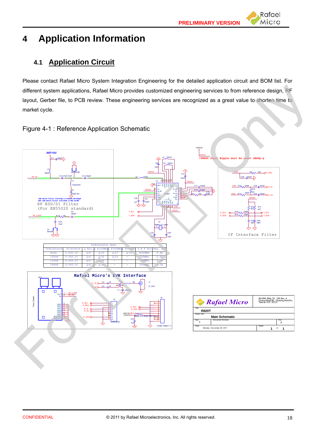# **4 Application Information**

## **4.1 Application Circuit**

Please contact Rafael Micro System Integration Engineering for the detailed application circuit and BOM list. For different system applications, Rafael Micro provides customized engineering services to from reference design, RF layout, Gerber file, to PCB review. These engineering services are recognized as a great value to shorten time to market cycle.



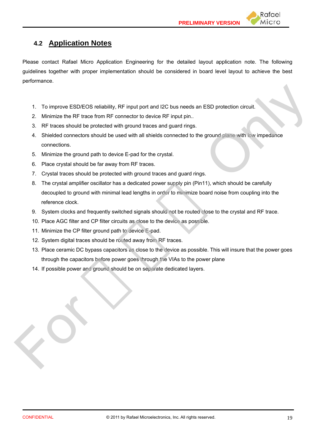## **4.2 Application Notes**

Please contact Rafael Micro Application Engineering for the detailed layout application note. The following guidelines together with proper implementation should be considered in board level layout to achieve the best performance.

- 1. To improve ESD/EOS reliability, RF input port and I2C bus needs an ESD protection circuit.
- 2. Minimize the RF trace from RF connector to device RF input pin..
- 3. RF traces should be protected with ground traces and guard rings.
- 4. Shielded connectors should be used with all shields connected to the ground plane with low impedance connections.
- 5. Minimize the ground path to device E-pad for the crystal.
- 6. Place crystal should be far away from RF traces.
- 7. Crystal traces should be protected with ground traces and guard rings.
- 8. The crystal amplifier oscillator has a dedicated power supply pin (Pin11), which should be carefully decoupled to ground with minimal lead lengths in order to minimize board noise from coupling into the reference clock.
- 9. System clocks and frequently switched signals should not be routed close to the crystal and RF trace.
- 10. Place AGC filter and CP filter circuits as close to the device as possible.
- 11. Minimize the CP filter ground path to device E-pad.
- 12. System digital traces should be routed away from RF traces.
- 13. Place ceramic DC bypass capacitors as close to the device as possible. This will insure that the power goes through the capacitors before power goes through the VIAs to the power plane
- 14. If possible power and ground should be on separate dedicated layers.

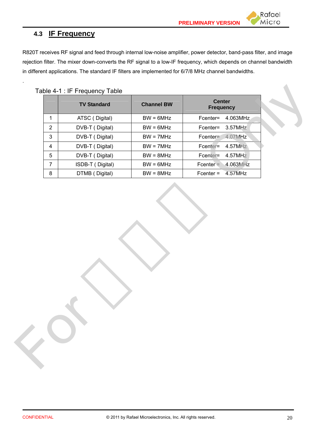## **4.3 IF Frequency**

.

R820T receives RF signal and feed through internal low-noise amplifier, power detector, band-pass filter, and image rejection filter. The mixer down-converts the RF signal to a low-IF frequency, which depends on channel bandwidth in different applications. The standard IF filters are implemented for 6/7/8 MHz channel bandwidths.

Table 4-1 : IF Frequency Table

|                | <b>TV Standard</b> | <b>Channel BW</b> | <b>Center</b><br><b>Frequency</b> |
|----------------|--------------------|-------------------|-----------------------------------|
| $\mathbf{1}$   | ATSC (Digital)     | $BW = 6MHz$       | Fcenter= 4.063MHz                 |
| $\overline{2}$ | DVB-T (Digital)    | $BW = 6MHz$       | 3.57MHz<br>Fcenter=               |
| $\mathbf{3}$   | DVB-T (Digital)    | $BW = 7MHz$       | 4.07MHz<br>Fcenter=               |
| $\overline{4}$ | DVB-T (Digital)    | $BW = 7MHz$       | Fcenter=<br>4.57MHz               |
| $\sqrt{5}$     | DVB-T (Digital)    | $BW = 8MHz$       | Fcenter=<br>4.57MHz               |
| $\overline{7}$ | ISDB-T (Digital)   | $BW = 6MHz$       | $Fcenter =$<br>4.063MHz           |
| 8              | DTMB (Digital)     | $BW = 8MHz$       | $Fcenter =$<br>4.57MHz            |
|                |                    |                   |                                   |
|                |                    |                   |                                   |

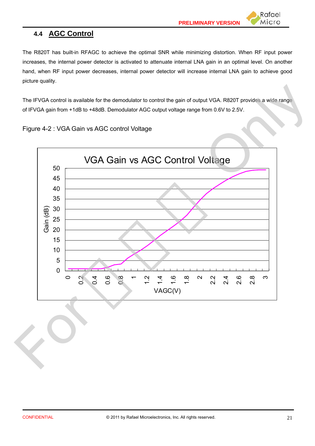## **4.4 AGC Control**

The R820T has built-in RFAGC to achieve the optimal SNR while minimizing distortion. When RF input power increases, the internal power detector is activated to attenuate internal LNA gain in an optimal level. On another hand, when RF input power decreases, internal power detector will increase internal LNA gain to achieve good picture quality.

The IFVGA control is available for the demodulator to control the gain of output VGA. R820T provides a wide range of IFVGA gain from +1dB to +48dB. Demodulator AGC output voltage range from 0.6V to 2.5V.



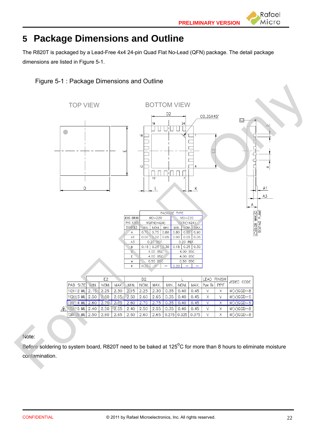Rafael Micro



The R820T is packaged by a Lead-Free 4x4 24-pin Quad Flat No-Lead (QFN) package. The detail package dimensions are listed in Figure 5-1.





Note:

Before soldering to system board, R820T need to be baked at 125<sup>o</sup>C for more than 8 hours to eliminate moisture contamination.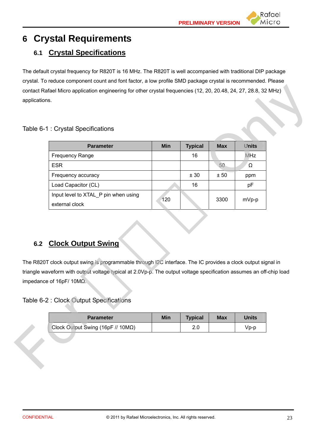# **6 Crystal Requirements**

## **6.1 Crystal Specifications**

The default crystal frequency for R820T is 16 MHz. The R820T is well accompanied with traditional DIP package crystal. To reduce component count and font factor, a low profile SMD package crystal is recommended. Please contact Rafael Micro application engineering for other crystal frequencies (12, 20, 20.48, 24, 27, 28.8, 32 MHz) applications.

#### Table 6-1 : Crystal Specifications

| Table 6-1 : Crystal Specifications                                                                                                                                                                                                                                                                                |            |                       |            |                      |  |
|-------------------------------------------------------------------------------------------------------------------------------------------------------------------------------------------------------------------------------------------------------------------------------------------------------------------|------------|-----------------------|------------|----------------------|--|
| <b>Parameter</b>                                                                                                                                                                                                                                                                                                  | <b>Min</b> | <b>Typical</b>        | <b>Max</b> | <b>Units</b>         |  |
| <b>Frequency Range</b>                                                                                                                                                                                                                                                                                            |            | 16                    |            | MHz                  |  |
| <b>ESR</b>                                                                                                                                                                                                                                                                                                        |            |                       | 50         | $\Omega$             |  |
| Frequency accuracy                                                                                                                                                                                                                                                                                                |            | ± 30                  | ± 50       | ppm                  |  |
| Load Capacitor (CL)                                                                                                                                                                                                                                                                                               |            | 16                    |            | pF                   |  |
| Input level to XTAL_P pin when using                                                                                                                                                                                                                                                                              |            |                       |            |                      |  |
|                                                                                                                                                                                                                                                                                                                   |            |                       |            |                      |  |
| external clock<br><b>Clock Output Swing</b>                                                                                                                                                                                                                                                                       | 120        |                       | 3300       | mVp-p                |  |
| 6.2<br>The R820T clock output swing is programmable through I2C interface. The IC provides a clock output signal in<br>triangle waveform with output voltage typical at 2.0Vp-p. The output voltage specification assumes an off-chip load<br>impedance of 16pF/ 10MΩ.<br>Table 6-2 : Clock Output Specifications |            |                       |            |                      |  |
|                                                                                                                                                                                                                                                                                                                   |            |                       |            |                      |  |
| Parameter<br>Clock Output Swing (16pF // 10ΜΩ)                                                                                                                                                                                                                                                                    | <b>Min</b> | <b>Typical</b><br>2.0 | <b>Max</b> | <b>Units</b><br>Vp-p |  |

## **6.2 Clock Output Swing**

| <b>Parameter</b>                                            | Min | <b>Typical</b> | <b>Max</b> | Units     |
|-------------------------------------------------------------|-----|----------------|------------|-----------|
| Clock Output Swing (16pF $\text{/} \text{/}$ 10M $\Omega$ ) |     |                |            | $V_{D-D}$ |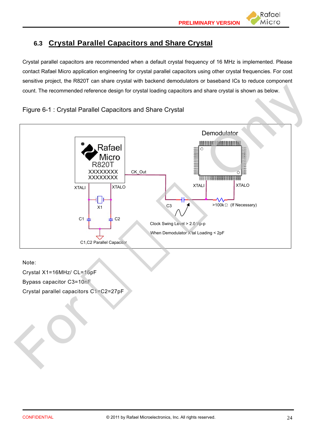## **6.3 Crystal Parallel Capacitors and Share Crystal**

Crystal parallel capacitors are recommended when a default crystal frequency of 16 MHz is implemented. Please contact Rafael Micro application engineering for crystal parallel capacitors using other crystal frequencies. For cost sensitive project, the R820T can share crystal with backend demodulators or baseband ICs to reduce component count. The recommended reference design for crystal loading capacitors and share crystal is shown as below.





Note:

Crystal X1=16MHz/ CL=16pF Bypass capacitor C3=10nF Crystal parallel capacitors C1=C2=27pF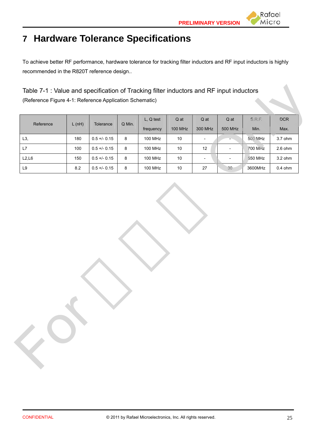

To achieve better RF performance, hardware tolerance for tracking filter inductors and RF input inductors is highly recommended in the R820T reference design..

| Reference     | L(nH)   | Tolerance      | Q Min.  | L, Q test      | $Q$ at  | $Q$ at                   | Q at                     | S.R.F.         | $DCR$     |
|---------------|---------|----------------|---------|----------------|---------|--------------------------|--------------------------|----------------|-----------|
|               |         |                |         | frequency      | 100 MHz | 300 MHz                  | 500 MHz                  | Min.           | Max.      |
| L3,           | 180     | $0.5 +/- 0.15$ | $\bf 8$ | 100 MHz        | $10\,$  | $\overline{\phantom{a}}$ |                          | 500 MHz        | $3.7$ ohm |
| L7            | 100     | $0.5 + -0.15$  | $\bf 8$ | 100 MHz        | $10\,$  | 12                       | $\overline{\phantom{a}}$ | <b>700 MHz</b> | $2.6$ ohm |
| L2, L6        | 150     | $0.5 +/- 0.15$ | 8       | 100 MHz        | $10\,$  | $\overline{\phantom{a}}$ | $\overline{\phantom{a}}$ | 550 MHz        | $3.2$ ohm |
| $\mathsf{L}9$ | $8.2\,$ | $0.5 + - 0.15$ | 8       | <b>100 MHz</b> | $10\,$  | 27                       | 30                       | 3600MHz        | $0.4$ ohm |
|               |         |                |         |                |         |                          |                          |                |           |
|               |         |                |         |                |         |                          |                          |                |           |